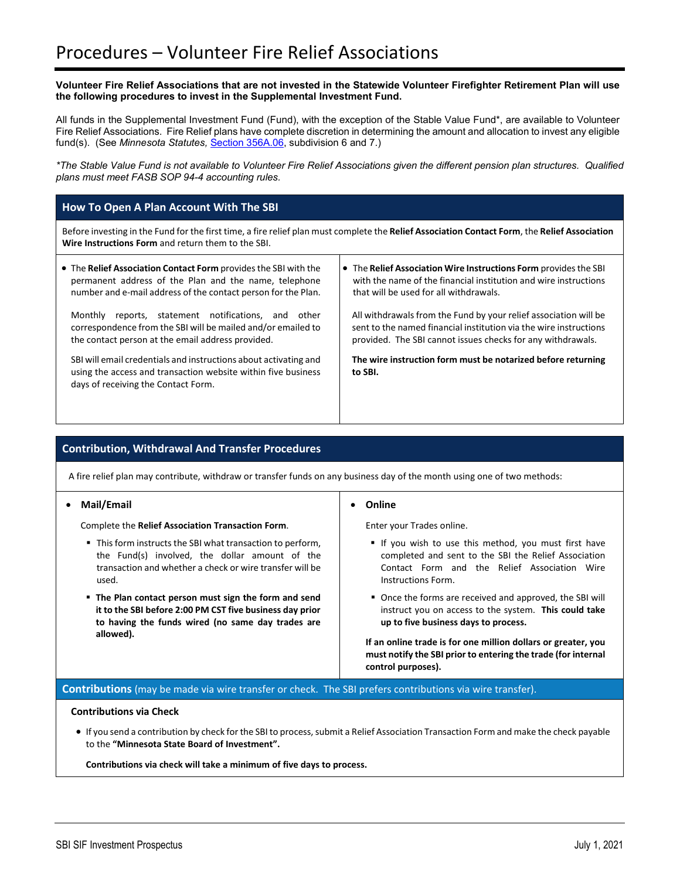## **Volunteer Fire Relief Associations that are not invested in the Statewide Volunteer Firefighter Retirement Plan will use the following procedures to invest in the Supplemental Investment Fund.**

All funds in the Supplemental Investment Fund (Fund), with the exception of the Stable Value Fund\*, are available to Volunteer Fire Relief Associations. Fire Relief plans have complete discretion in determining the amount and allocation to invest any eligible fund(s). (See *Minnesota Statutes,* [Section 356A.06,](https://www.revisor.mn.gov/statutes/cite/356A.06) subdivision 6 and 7.)

*\*The Stable Value Fund is not available to Volunteer Fire Relief Associations given the different pension plan structures. Qualified plans must meet FASB SOP 94-4 accounting rules.*

# **How To Open A Plan Account With The SBI**

Before investing in the Fund for the first time, a fire relief plan must complete the **Relief Association Contact Form**, the **Relief Association Wire Instructions Form** and return them to the SBI.

| • The Relief Association Contact Form provides the SBI with the<br>permanent address of the Plan and the name, telephone<br>number and e-mail address of the contact person for the Plan. | • The Relief Association Wire Instructions Form provides the SBI<br>with the name of the financial institution and wire instructions<br>that will be used for all withdrawals.                       |
|-------------------------------------------------------------------------------------------------------------------------------------------------------------------------------------------|------------------------------------------------------------------------------------------------------------------------------------------------------------------------------------------------------|
| reports, statement notifications, and<br>Monthly<br>other<br>correspondence from the SBI will be mailed and/or emailed to<br>the contact person at the email address provided.            | All withdrawals from the Fund by your relief association will be<br>sent to the named financial institution via the wire instructions<br>provided. The SBI cannot issues checks for any withdrawals. |
| SBI will email credentials and instructions about activating and<br>using the access and transaction website within five business<br>days of receiving the Contact Form.                  | The wire instruction form must be notarized before returning<br>to SBI.                                                                                                                              |

# **Contribution, Withdrawal And Transfer Procedures**

A fire relief plan may contribute, withdraw or transfer funds on any business day of the month using one of two methods:

#### • **Mail/Email**

Complete the **Relief Association Transaction Form**.

- This form instructs the SBI what transaction to perform, the Fund(s) involved, the dollar amount of the transaction and whether a check or wire transfer will be used.
- **The Plan contact person must sign the form and send it to the SBI before 2:00 PM CST five business day prior to having the funds wired (no same day trades are allowed).**

#### • **Online**

Enter your Trades online.

- If you wish to use this method, you must first have completed and sent to the SBI the Relief Association Contact Form and the Relief Association Wire Instructions Form.
- Once the forms are received and approved, the SBI will instruct you on access to the system. **This could take up to five business days to process.**

**If an online trade is for one million dollars or greater, you must notify the SBI prior to entering the trade (for internal control purposes).**

**Contributions** (may be made via wire transfer or check. The SBI prefers contributions via wire transfer).

## **Contributions via Check**

• If you send a contribution by check for the SBI to process, submit a Relief Association Transaction Form and make the check payable to the **"Minnesota State Board of Investment".**

**Contributions via check will take a minimum of five days to process.**